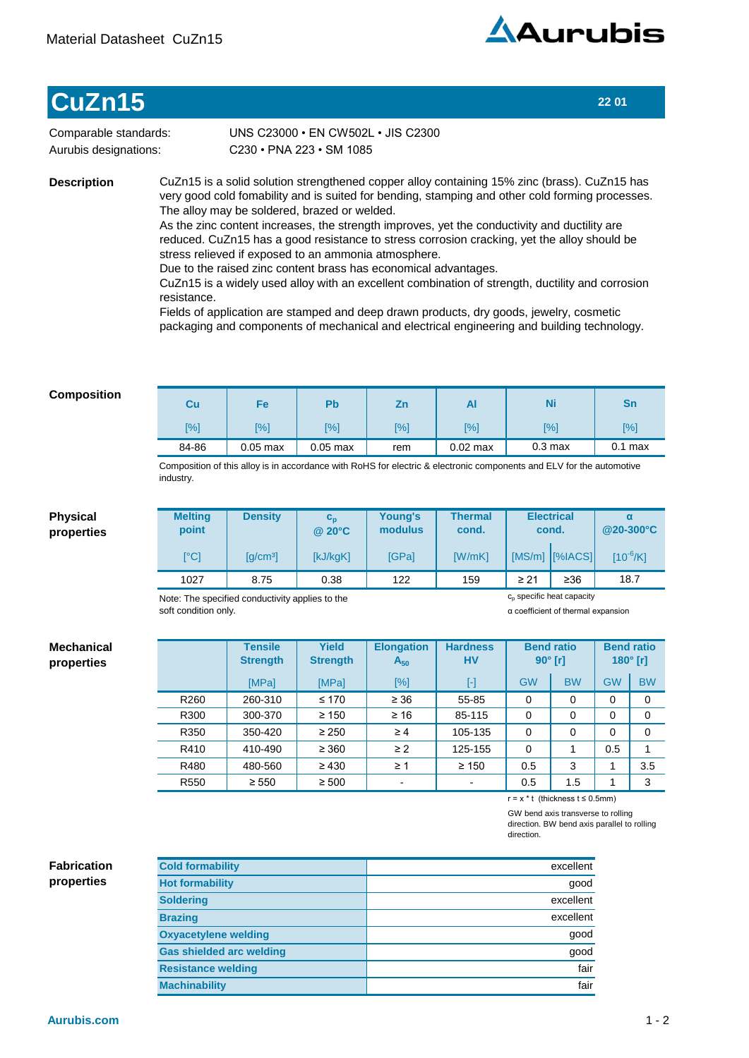

## **CuZn15 22 01**

Comparable standards: Aurubis designations:

C230•PNA223•SM1085 UNS C23000 · EN CW502L · JIS C2300

**Description**

CuZn15 is a solid solution strengthened copper alloy containing 15% zinc (brass). CuZn15 has very good cold fomability and is suited for bending, stamping and other cold forming processes. The alloy may be soldered, brazed or welded.

As the zinc content increases, the strength improves, yet the conductivity and ductility are reduced. CuZn15 has a good resistance to stress corrosion cracking, yet the alloy should be stress relieved if exposed to an ammonia atmosphere.

Due to the raised zinc content brass has economical advantages.

CuZn15 is a widely used alloy with an excellent combination of strength, ductility and corrosion resistance.

Fields of application are stamped and deep drawn products, dry goods, jewelry, cosmetic packaging and components of mechanical and electrical engineering and building technology.

## **Composition**

**Physical properties**

**Mechanical properties**

| Cu    | Fe         | Pb         | Ζn  | Al         | Ni                | Sn         |  |
|-------|------------|------------|-----|------------|-------------------|------------|--|
| [%]   | [%]        | <b>1%</b>  | [%] | [%]        | [%]               | $\sqrt{8}$ |  |
| 84-86 | $0.05$ max | $0.05$ max | rem | $0.02$ max | $0.3 \text{ max}$ | $0.1$ max  |  |

Composition of this alloy is in accordance with RoHS for electric & electronic components and ELV for the automotive industry.

| <b>Melting</b><br>point | <b>Density</b>                                  | $\mathbf{c_{o}}$<br>@ 20°C | <b>Young's</b><br>modulus             | <b>Thermal</b><br>cond. | <b>Electrical</b><br>cond. |                    | α<br>@20-300°C |  |
|-------------------------|-------------------------------------------------|----------------------------|---------------------------------------|-------------------------|----------------------------|--------------------|----------------|--|
| [°C]                    | $\lceil q/cm^3 \rceil$                          | [kJ/kgK]                   | <b>[GPa]</b>                          | <b>IW/mKI</b>           |                            | $[MS/m]$ $[%[ACS]$ | $[10^{-6}/K]$  |  |
| 1027                    | 8.75                                            | 0.38                       | 122                                   | 159                     | $\geq 21$                  | $\geq 36$          | 18.7           |  |
|                         | Note: The specified conductivity applies to the |                            | c <sub>n</sub> specific heat capacity |                         |                            |                    |                |  |

Note: The specified conductivity applies to the soft condition only.

α coefficient of thermal expansion

|                  | <b>Tensile</b><br><b>Strength</b> | <b>Yield</b><br><b>Strength</b> | <b>Elongation</b><br>$A_{50}$ | <b>Hardness</b><br><b>HV</b> | $90^\circ$ [r] | <b>Bend ratio</b> | $180^\circ$ [r] | <b>Bend ratio</b> |
|------------------|-----------------------------------|---------------------------------|-------------------------------|------------------------------|----------------|-------------------|-----------------|-------------------|
|                  | [MPa]                             | [MPa]                           | [%]                           | $\left[ \cdot \right]$       | <b>GW</b>      | <b>BW</b>         | <b>GW</b>       | <b>BW</b>         |
| R <sub>260</sub> | 260-310                           | $\leq 170$                      | $\geq 36$                     | 55-85                        | 0              | 0                 | 0               | 0                 |
| R300             | 300-370                           | $\geq 150$                      | $\geq 16$                     | 85-115                       | 0              | 0                 | 0               | 0                 |
| R350             | 350-420                           | $\geq 250$                      | $\geq 4$                      | 105-135                      | 0              | $\mathbf 0$       | 0               | 0                 |
| R410             | 410-490                           | $\geq 360$                      | $\geq$ 2                      | 125-155                      | 0              |                   | 0.5             |                   |
| R480             | 480-560                           | $\geq 430$                      | $\geq 1$                      | $\geq 150$                   | 0.5            | 3                 |                 | 3.5               |
| R <sub>550</sub> | $\geq 550$                        | $\geq 500$                      |                               |                              | 0.5            | 1.5               |                 | 3                 |

r=x\*t(thicknesst≤0.5mm)

GW bend axis transverse to rolling direction. BW bend axis parallel to rolling direction.

## **Fabrication properties**

**Resistance welding fair and the set of the set of the set of the set of the set of the set of the set of the set of the set of the set of the set of the set of the set of the set of the set of the set of the set of the se Machinability** fair good **Oxyacetylene welding** good **Soldering** excellent **Gas shielded arc welding** excellent **Hot formability** good **Cold formability Brazing excellent** excellent and the contract of the contract of the contract of the contract of the contract of the contract of the contract of the contract of the contract of the contract of the contract of the contract